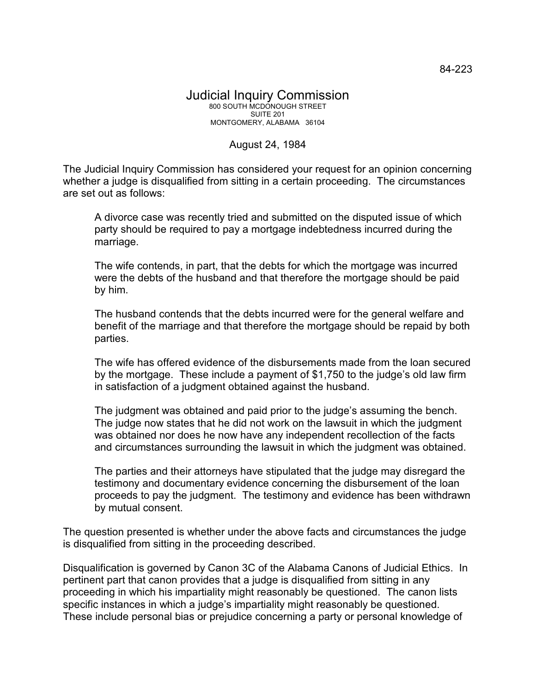## Judicial Inquiry Commission 800 SOUTH MCDONOUGH STREET SUITE 201 MONTGOMERY, ALABAMA 36104

## August 24, 1984

The Judicial Inquiry Commission has considered your request for an opinion concerning whether a judge is disqualified from sitting in a certain proceeding. The circumstances are set out as follows:

A divorce case was recently tried and submitted on the disputed issue of which party should be required to pay a mortgage indebtedness incurred during the marriage.

The wife contends, in part, that the debts for which the mortgage was incurred were the debts of the husband and that therefore the mortgage should be paid by him.

The husband contends that the debts incurred were for the general welfare and benefit of the marriage and that therefore the mortgage should be repaid by both parties.

The wife has offered evidence of the disbursements made from the loan secured by the mortgage. These include a payment of \$1,750 to the judge's old law firm in satisfaction of a judgment obtained against the husband.

The judgment was obtained and paid prior to the judge's assuming the bench. The judge now states that he did not work on the lawsuit in which the judgment was obtained nor does he now have any independent recollection of the facts and circumstances surrounding the lawsuit in which the judgment was obtained.

The parties and their attorneys have stipulated that the judge may disregard the testimony and documentary evidence concerning the disbursement of the loan proceeds to pay the judgment. The testimony and evidence has been withdrawn by mutual consent.

The question presented is whether under the above facts and circumstances the judge is disqualified from sitting in the proceeding described.

Disqualification is governed by Canon 3C of the Alabama Canons of Judicial Ethics. In pertinent part that canon provides that a judge is disqualified from sitting in any proceeding in which his impartiality might reasonably be questioned. The canon lists specific instances in which a judge's impartiality might reasonably be questioned. These include personal bias or prejudice concerning a party or personal knowledge of